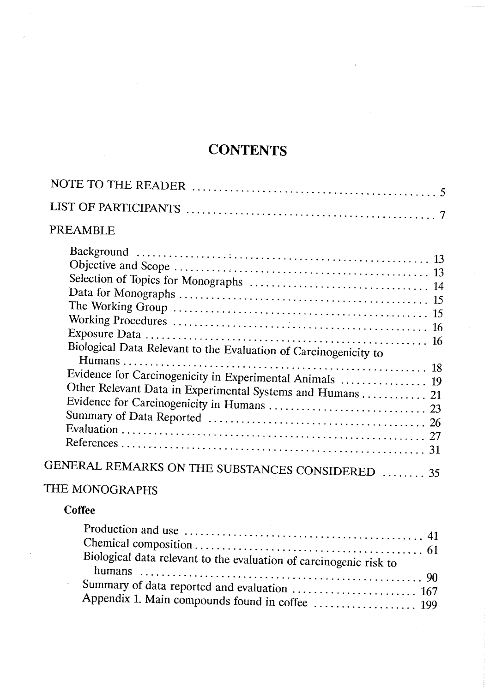# **CONTENTS**

| PREAMBLE                                                                                                                                                                                         |
|--------------------------------------------------------------------------------------------------------------------------------------------------------------------------------------------------|
| Biological Data Relevant to the Evaluation of Carcinogenicity to<br>Evidence for Carcinogenicity in Experimental Animals  19<br>Other Relevant Data in Experimental Systems and Humans  21<br>31 |
| GENERAL REMARKS ON THE SUBSTANCES CONSIDERED  35                                                                                                                                                 |
|                                                                                                                                                                                                  |

 $\hat{\mathcal{A}}$ 

## THE MONOGRAPHS

#### Coffee

 $\bar{z}$ 

 $\ddot{\phantom{a}}$ 

| Biological data relevant to the evaluation of carcinogenic risk to |  |
|--------------------------------------------------------------------|--|
|                                                                    |  |
|                                                                    |  |
|                                                                    |  |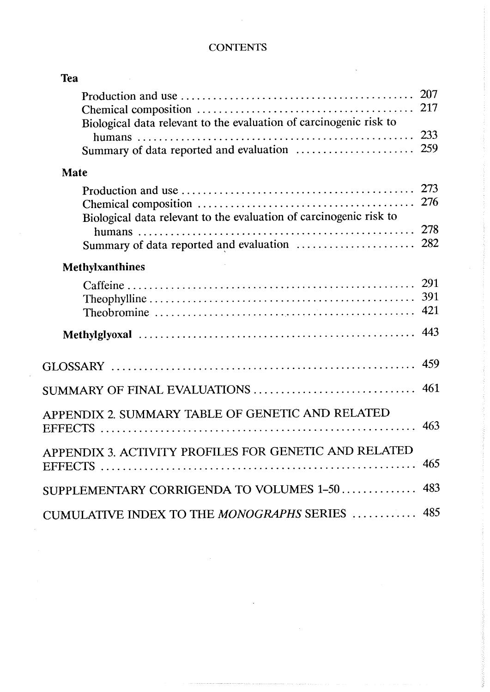#### **CONTENTS**

 $\sim 10$ 

| <b>Tea</b>                                                         |            |
|--------------------------------------------------------------------|------------|
|                                                                    | 207<br>217 |
| Biological data relevant to the evaluation of carcinogenic risk to |            |
|                                                                    | 233        |
|                                                                    | 259        |
| <b>Mate</b>                                                        |            |
|                                                                    | 273        |
|                                                                    | 276        |
| Biological data relevant to the evaluation of carcinogenic risk to | 278        |
|                                                                    |            |
|                                                                    |            |
| <b>Methylxanthines</b>                                             |            |
|                                                                    |            |
|                                                                    | 391        |
|                                                                    | 421        |
|                                                                    | 443        |
|                                                                    | 459        |
| SUMMARY OF FINAL EVALUATIONS                                       | 461        |
|                                                                    |            |
| APPENDIX 2. SUMMARY TABLE OF GENETIC AND RELATED                   | 463        |
| APPENDIX 3. ACTIVITY PROFILES FOR GENETIC AND RELATED              |            |
|                                                                    | 465        |
| SUPPLEMENTARY CORRIGENDA TO VOLUMES 1-50                           | 483        |
|                                                                    |            |
| CUMULATIVE INDEX TO THE MONOGRAPHS SERIES                          | 485        |

والوالي والمستقلة المستقلة